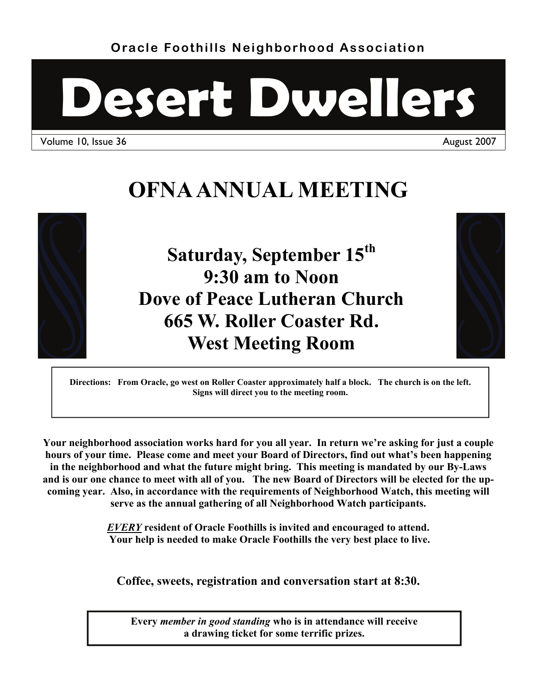**Oracle Foothills Neighborhood Association** 



Volume 10, Issue 36 August 2007

# **OFNA ANNUAL MEETING**



**Saturday, September 15th 9:30 am to Noon Dove of Peace Lutheran Church 665 W. Roller Coaster Rd. West Meeting Room** 



**Directions: From Oracle, go west on Roller Coaster approximately half a block. The church is on the left. Signs will direct you to the meeting room.** 

**Your neighborhood association works hard for you all year. In return we're asking for just a couple hours of your time. Please come and meet your Board of Directors, find out what's been happening in the neighborhood and what the future might bring. This meeting is mandated by our By-Laws and is our one chance to meet with all of you. The new Board of Directors will be elected for the upcoming year. Also, in accordance with the requirements of Neighborhood Watch, this meeting will serve as the annual gathering of all Neighborhood Watch participants.**

> *EVERY* **resident of Oracle Foothills is invited and encouraged to attend. Your help is needed to make Oracle Foothills the very best place to live.**

**Coffee, sweets, registration and conversation start at 8:30.** 

**Every** *member in good standing* **who is in attendance will receive a drawing ticket for some terrific prizes.**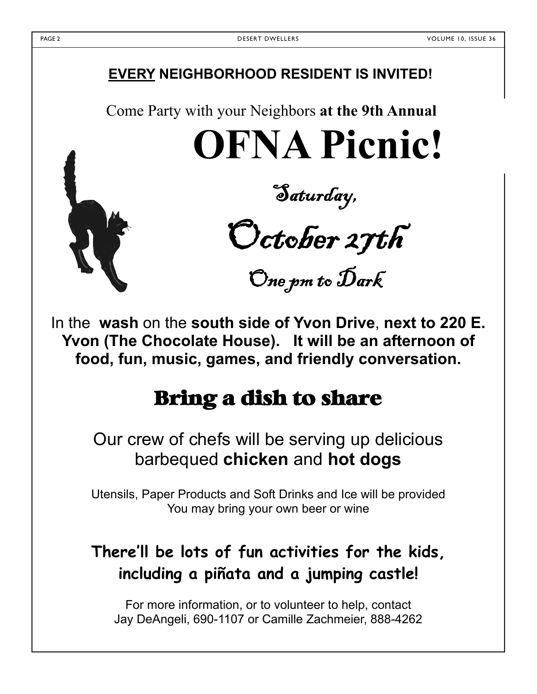## **EVERY NEIGHBORHOOD RESIDENT IS INVITED!**

Come Party with your Neighbors **at the 9th Annual** 

**OFNA Picnic!** 

Saturday,

October 27th

One pm to Dark

In the **wash** on the **south side of Yvon Drive**, **next to 220 E. Yvon (The Chocolate House). It will be an afternoon of food, fun, music, games, and friendly conversation.** 

# Bring a dish to share

Our crew of chefs will be serving up delicious barbequed **chicken** and **hot dogs**

 Utensils, Paper Products and Soft Drinks and Ice will be provided You may bring your own beer or wine

## **There'll be lots of fun activities for the kids, including a piñata and a jumping castle!**

For more information, or to volunteer to help, contact Jay DeAngeli, 690-1107 or Camille Zachmeier, 888-4262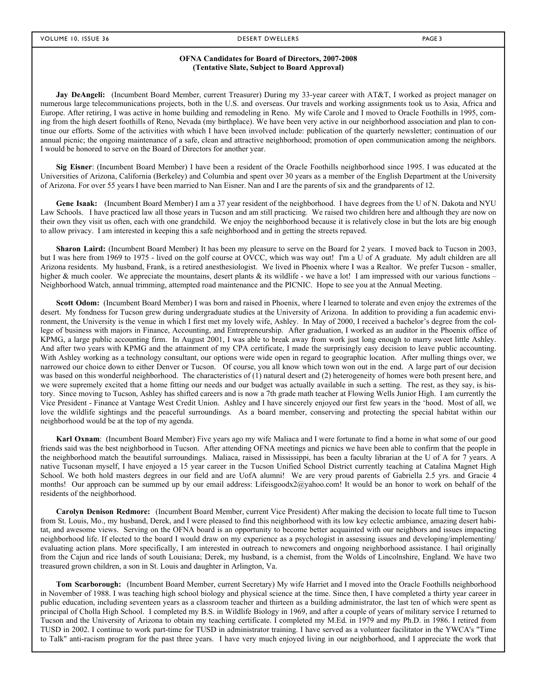#### **OFNA Candidates for Board of Directors, 2007-2008 (Tentative Slate, Subject to Board Approval)**

**Jay DeAngeli:** (Incumbent Board Member, current Treasurer) During my 33-year career with AT&T, I worked as project manager on numerous large telecommunications projects, both in the U.S. and overseas. Our travels and working assignments took us to Asia, Africa and Europe. After retiring, I was active in home building and remodeling in Reno. My wife Carole and I moved to Oracle Foothills in 1995, coming from the high desert foothills of Reno, Nevada (my birthplace). We have been very active in our neighborhood association and plan to continue our efforts. Some of the activities with which I have been involved include: publication of the quarterly newsletter; continuation of our annual picnic; the ongoing maintenance of a safe, clean and attractive neighborhood; promotion of open communication among the neighbors. I would be honored to serve on the Board of Directors for another year.

**Sig Eisner**: (Incumbent Board Member) I have been a resident of the Oracle Foothills neighborhood since 1995. I was educated at the Universities of Arizona, California (Berkeley) and Columbia and spent over 30 years as a member of the English Department at the University of Arizona. For over 55 years I have been married to Nan Eisner. Nan and I are the parents of six and the grandparents of 12.

**Gene Isaak:** (Incumbent Board Member) I am a 37 year resident of the neighborhood. I have degrees from the U of N. Dakota and NYU Law Schools. I have practiced law all those years in Tucson and am still practicing. We raised two children here and although they are now on their own they visit us often, each with one grandchild. We enjoy the neighborhood because it is relatively close in but the lots are big enough to allow privacy. I am interested in keeping this a safe neighborhood and in getting the streets repaved.

**Sharon Laird:** (Incumbent Board Member) It has been my pleasure to serve on the Board for 2 years. I moved back to Tucson in 2003, but I was here from 1969 to 1975 - lived on the golf course at OVCC, which was way out! I'm a U of A graduate. My adult children are all Arizona residents. My husband, Frank, is a retired anesthesiologist. We lived in Phoenix where I was a Realtor. We prefer Tucson - smaller, higher & much cooler. We appreciate the mountains, desert plants  $\&$  its wildlife - we have a lot! I am impressed with our various functions – Neighborhood Watch, annual trimming, attempted road maintenance and the PICNIC. Hope to see you at the Annual Meeting.

**Scott Odom:** (Incumbent Board Member) I was born and raised in Phoenix, where I learned to tolerate and even enjoy the extremes of the desert. My fondness for Tucson grew during undergraduate studies at the University of Arizona. In addition to providing a fun academic environment, the University is the venue in which I first met my lovely wife, Ashley. In May of 2000, I received a bachelor's degree from the college of business with majors in Finance, Accounting, and Entrepreneurship. After graduation, I worked as an auditor in the Phoenix office of KPMG, a large public accounting firm. In August 2001, I was able to break away from work just long enough to marry sweet little Ashley. And after two years with KPMG and the attainment of my CPA certificate, I made the surprisingly easy decision to leave public accounting. With Ashley working as a technology consultant, our options were wide open in regard to geographic location. After mulling things over, we narrowed our choice down to either Denver or Tucson. Of course, you all know which town won out in the end. A large part of our decision was based on this wonderful neighborhood. The characteristics of (1) natural desert and (2) heterogeneity of homes were both present here, and we were supremely excited that a home fitting our needs and our budget was actually available in such a setting. The rest, as they say, is history. Since moving to Tucson, Ashley has shifted careers and is now a 7th grade math teacher at Flowing Wells Junior High. I am currently the Vice President - Finance at Vantage West Credit Union. Ashley and I have sincerely enjoyed our first few years in the 'hood. Most of all, we love the wildlife sightings and the peaceful surroundings. As a board member, conserving and protecting the special habitat within our neighborhood would be at the top of my agenda.

**Karl Oxnam**: (Incumbent Board Member) Five years ago my wife Maliaca and I were fortunate to find a home in what some of our good friends said was the best neighborhood in Tucson. After attending OFNA meetings and picnics we have been able to confirm that the people in the neighborhood match the beautiful surroundings. Maliaca, raised in Mississippi, has been a faculty librarian at the U of A for 7 years. A native Tucsonan myself, I have enjoyed a 15 year career in the Tucson Unified School District currently teaching at Catalina Magnet High School. We both hold masters degrees in our field and are UofA alumni! We are very proud parents of Gabriella 2.5 yrs. and Gracie 4 months! Our approach can be summed up by our email address: Lifeisgoodx2@yahoo.com! It would be an honor to work on behalf of the residents of the neighborhood.

**Carolyn Denison Redmore:** (Incumbent Board Member, current Vice President) After making the decision to locate full time to Tucson from St. Louis, Mo., my husband, Derek, and I were pleased to find this neighborhood with its low key eclectic ambiance, amazing desert habitat, and awesome views. Serving on the OFNA board is an opportunity to become better acquainted with our neighbors and issues impacting neighborhood life. If elected to the board I would draw on my experience as a psychologist in assessing issues and developing/implementing/ evaluating action plans. More specifically, I am interested in outreach to newcomers and ongoing neighborhood assistance. I hail originally from the Cajun and rice lands of south Louisiana; Derek, my husband, is a chemist, from the Wolds of Lincolnshire, England. We have two treasured grown children, a son in St. Louis and daughter in Arlington, Va.

**Tom Scarborough:** (Incumbent Board Member, current Secretary) My wife Harriet and I moved into the Oracle Foothills neighborhood in November of 1988. I was teaching high school biology and physical science at the time. Since then, I have completed a thirty year career in public education, including seventeen years as a classroom teacher and thirteen as a building administrator, the last ten of which were spent as principal of Cholla High School. I completed my B.S. in Wildlife Biology in 1969, and after a couple of years of military service I returned to Tucson and the University of Arizona to obtain my teaching certificate. I completed my M.Ed. in 1979 and my Ph.D. in 1986. I retired from TUSD in 2002. I continue to work part-time for TUSD in administrator training. I have served as a volunteer facilitator in the YWCA's "Time to Talk" anti-racism program for the past three years. I have very much enjoyed living in our neighborhood, and I appreciate the work that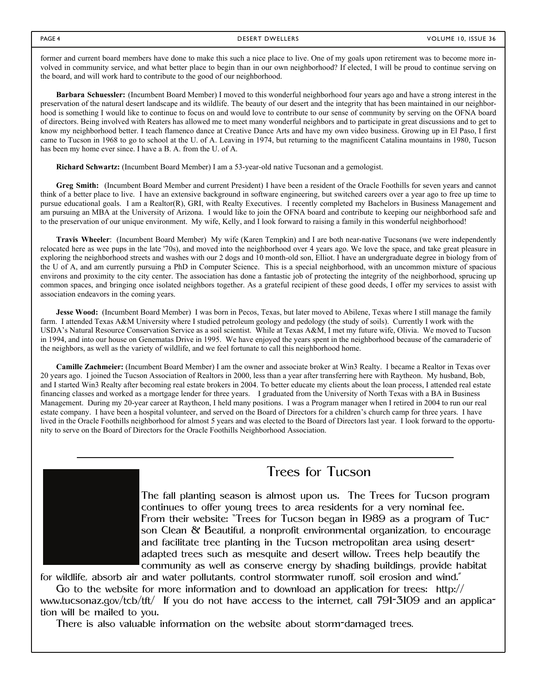former and current board members have done to make this such a nice place to live. One of my goals upon retirement was to become more involved in community service, and what better place to begin than in our own neighborhood? If elected, I will be proud to continue serving on the board, and will work hard to contribute to the good of our neighborhood.

**Barbara Schuessler:** (Incumbent Board Member) I moved to this wonderful neighborhood four years ago and have a strong interest in the preservation of the natural desert landscape and its wildlife. The beauty of our desert and the integrity that has been maintained in our neighborhood is something I would like to continue to focus on and would love to contribute to our sense of community by serving on the OFNA board of directors. Being involved with Reaters has allowed me to meet many wonderful neighbors and to participate in great discussions and to get to know my neighborhood better. I teach flamenco dance at Creative Dance Arts and have my own video business. Growing up in El Paso, I first came to Tucson in 1968 to go to school at the U. of A. Leaving in 1974, but returning to the magnificent Catalina mountains in 1980, Tucson has been my home ever since. I have a B. A. from the U. of A.

**Richard Schwartz:** (Incumbent Board Member) I am a 53-year-old native Tucsonan and a gemologist.

**Greg Smith:** (Incumbent Board Member and current President) I have been a resident of the Oracle Foothills for seven years and cannot think of a better place to live. I have an extensive background in software engineering, but switched careers over a year ago to free up time to pursue educational goals. I am a Realtor(R), GRI, with Realty Executives. I recently completed my Bachelors in Business Management and am pursuing an MBA at the University of Arizona. I would like to join the OFNA board and contribute to keeping our neighborhood safe and to the preservation of our unique environment. My wife, Kelly, and I look forward to raising a family in this wonderful neighborhood!

**Travis Wheeler**: (Incumbent Board Member) My wife (Karen Tempkin) and I are both near-native Tucsonans (we were independently relocated here as wee pups in the late '70s), and moved into the neighborhood over 4 years ago. We love the space, and take great pleasure in exploring the neighborhood streets and washes with our 2 dogs and 10 month-old son, Elliot. I have an undergraduate degree in biology from of the U of A, and am currently pursuing a PhD in Computer Science. This is a special neighborhood, with an uncommon mixture of spacious environs and proximity to the city center. The association has done a fantastic job of protecting the integrity of the neighborhood, sprucing up common spaces, and bringing once isolated neighbors together. As a grateful recipient of these good deeds, I offer my services to assist with association endeavors in the coming years.

**Jesse Wood:** (Incumbent Board Member) I was born in Pecos, Texas, but later moved to Abilene, Texas where I still manage the family farm. I attended Texas A&M University where I studied petroleum geology and pedology (the study of soils). Currently I work with the USDA's Natural Resource Conservation Service as a soil scientist. While at Texas A&M, I met my future wife, Olivia. We moved to Tucson in 1994, and into our house on Genematas Drive in 1995. We have enjoyed the years spent in the neighborhood because of the camaraderie of the neighbors, as well as the variety of wildlife, and we feel fortunate to call this neighborhood home.

**Camille Zachmeier:** (Incumbent Board Member) I am the owner and associate broker at Win3 Realty. I became a Realtor in Texas over 20 years ago. I joined the Tucson Association of Realtors in 2000, less than a year after transferring here with Raytheon. My husband, Bob, and I started Win3 Realty after becoming real estate brokers in 2004. To better educate my clients about the loan process, I attended real estate financing classes and worked as a mortgage lender for three years. I graduated from the University of North Texas with a BA in Business Management. During my 20-year career at Raytheon, I held many positions. I was a Program manager when I retired in 2004 to run our real estate company. I have been a hospital volunteer, and served on the Board of Directors for a children's church camp for three years. I have lived in the Oracle Foothills neighborhood for almost 5 years and was elected to the Board of Directors last year. I look forward to the opportunity to serve on the Board of Directors for the Oracle Foothills Neighborhood Association.



### Trees for Tucson

The fall planting season is almost upon us. The Trees for Tucson program continues to offer young trees to area residents for a very nominal fee. From their website: "Trees for Tucson began in 1989 as a program of Tucson Clean & Beautiful, a nonprofit environmental organization, to encourage and facilitate tree planting in the Tucson metropolitan area using desertadapted trees such as mesquite and desert willow. Trees help beautify the community as well as conserve energy by shading buildings, provide habitat

for wildlife, absorb air and water pollutants, control stormwater runoff, soil erosion and wind."

Go to the website for more information and to download an application for trees: http:// www.tucsonaz.gov/tcb/tft/ If you do not have access to the internet, call 791-3109 and an application will be mailed to you.

There is also valuable information on the website about storm-damaged trees.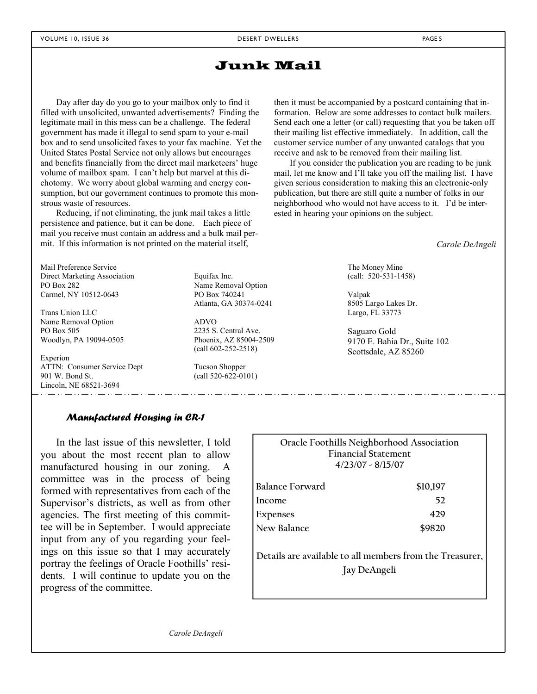### Junk Mail

Day after day do you go to your mailbox only to find it filled with unsolicited, unwanted advertisements? Finding the legitimate mail in this mess can be a challenge. The federal government has made it illegal to send spam to your e-mail box and to send unsolicited faxes to your fax machine. Yet the United States Postal Service not only allows but encourages and benefits financially from the direct mail marketeers' huge volume of mailbox spam. I can't help but marvel at this dichotomy. We worry about global warming and energy consumption, but our government continues to promote this monstrous waste of resources.

Reducing, if not eliminating, the junk mail takes a little persistence and patience, but it can be done. Each piece of mail you receive must contain an address and a bulk mail permit. If this information is not printed on the material itself,

Mail Preference Service Direct Marketing Association PO Box 282 Carmel, NY 10512-0643

Trans Union LLC Name Removal Option PO Box 505 Woodlyn, PA 19094-0505

Experion ATTN: Consumer Service Dept 901 W. Bond St. Lincoln, NE 68521-3694

Equifax Inc. Name Removal Option PO Box 740241 Atlanta, GA 30374-0241

ADVO 2235 S. Central Ave. Phoenix, AZ 85004-2509 (call 602-252-2518)

Tucson Shopper (call 520-622-0101) then it must be accompanied by a postcard containing that information. Below are some addresses to contact bulk mailers. Send each one a letter (or call) requesting that you be taken off their mailing list effective immediately. In addition, call the customer service number of any unwanted catalogs that you receive and ask to be removed from their mailing list.

If you consider the publication you are reading to be junk mail, let me know and I'll take you off the mailing list. I have given serious consideration to making this an electronic-only publication, but there are still quite a number of folks in our neighborhood who would not have access to it. I'd be interested in hearing your opinions on the subject.

*Carole DeAngeli* 

The Money Mine (call: 520-531-1458)

Valpak 8505 Largo Lakes Dr. Largo, FL 33773

Saguaro Gold 9170 E. Bahia Dr., Suite 102 Scottsdale, AZ 85260

### *Manufactured Housing in CR-1*

In the last issue of this newsletter, I told you about the most recent plan to allow manufactured housing in our zoning. committee was in the process of being formed with representatives from each of the Supervisor's districts, as well as from other agencies. The first meeting of this committee will be in September. I would appreciate input from any of you regarding your feelings on this issue so that I may accurately portray the feelings of Oracle Foothills' residents. I will continue to update you on the progress of the committee.

| Oracle Foothills Neighborhood Association<br><b>Financial Statement</b><br>$4/23/07 - 8/15/07$ |          |  |  |  |  |
|------------------------------------------------------------------------------------------------|----------|--|--|--|--|
| Balance Forward                                                                                | \$10,197 |  |  |  |  |
| Income                                                                                         | 52       |  |  |  |  |
| <b>Expenses</b>                                                                                | 429      |  |  |  |  |
| New Balance                                                                                    | \$9820   |  |  |  |  |
| Details are available to all members from the Treasurer,<br>Jay DeAngeli                       |          |  |  |  |  |